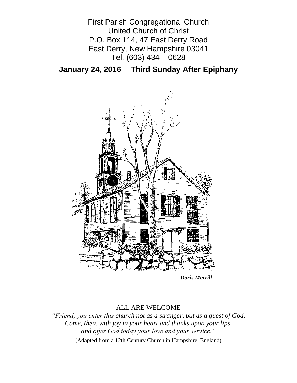First Parish Congregational Church United Church of Christ P.O. Box 114, 47 East Derry Road East Derry, New Hampshire 03041 Tel. (603) 434 – 0628

**January 24, 2016 Third Sunday After Epiphany**



*Doris Merrill*

## ALL ARE WELCOME

*"Friend, you enter this church not as a stranger, but as a guest of God. Come, then, with joy in your heart and thanks upon your lips, and offer God today your love and your service."*

(Adapted from a 12th Century Church in Hampshire, England)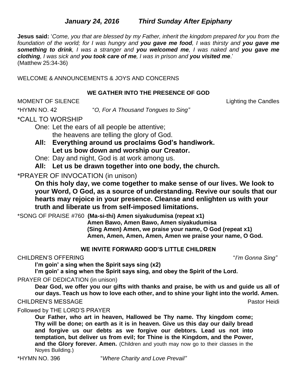## *January 24, 2016**Third Sunday After Epiphany*

**Jesus said:** '*Come, you that are blessed by my Father, inherit the kingdom prepared for you from the foundation of the world; for I was hungry and you gave me food, I was thirsty and you gave me something to drink, I was a stranger and you welcomed me, I was naked and you gave me clothing, I was sick and you took care of me, I was in prison and you visited me*.' (Matthew 25:34-36)

WELCOME & ANNOUNCEMENTS & JOYS AND CONCERNS

### **WE GATHER INTO THE PRESENCE OF GOD**

MOMENT OF SILENCE Lighting the Candles

\*HYMN NO. 42 "*O, For A Thousand Tongues to Sing"*

## \*CALL TO WORSHIP

One: Let the ears of all people be attentive; the heavens are telling the glory of God.

- **All: Everything around us proclaims God's handiwork. Let us bow down and worship our Creator.**
- One: Day and night, God is at work among us.
- **All: Let us be drawn together into one body, the church.**

## \*PRAYER OF INVOCATION (in unison)

**On this holy day, we come together to make sense of our lives. We look to your Word, O God, as a source of understanding. Revive our souls that our hearts may rejoice in your presence. Cleanse and enlighten us with your truth and liberate us from self-imposed limitations.**

\*SONG OF PRAISE #760 **(Ma-si-thi) Amen siyakudumisa (repeat x1)**

**Amen Bawo, Amen Bawo, Amen siyakudumisa (Sing Amen) Amen, we praise your name, O God (repeat x1) Amen, Amen, Amen, Amen, Amen we praise your name, O God.**

### **WE INVITE FORWARD GOD'S LITTLE CHILDREN**

### CHILDREN'S OFFERING "*I'm Gonna Sing"*

**I'm goin' a sing when the Spirit says sing (x2)**

**I'm goin' a sing when the Spirit says sing, and obey the Spirit of the Lord.**

## PRAYER OF DEDICATION (in unison)

**Dear God, we offer you our gifts with thanks and praise, be with us and guide us all of our days. Teach us how to love each other, and to shine your light into the world. Amen.**

CHILDREN'S MESSAGE **Pastor Heidi** Pastor Heidi Pastor Heidi Pastor Heidi Pastor Heidi

Followed by THE LORD'S PRAYER

**Our Father, who art in heaven, Hallowed be Thy name. Thy kingdom come; Thy will be done; on earth as it is in heaven. Give us this day our daily bread and forgive us our debts as we forgive our debtors. Lead us not into temptation, but deliver us from evil; for Thine is the Kingdom, and the Power, and the Glory forever. Amen.** (Children and youth may now go to their classes in the Noyes Building.)

\*HYMN NO. 396 "*Where Charity and Love Prevail"*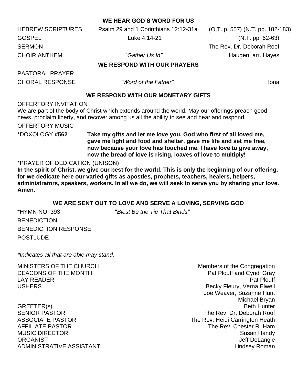### **WE HEAR GOD'S WORD FOR US**

HEBREW SCRIPTURES Psalm 29 and 1 Corinthians 12:12-31a (O.T. p. 557) (N.T. pp. 182-183) GOSPEL Luke 4:14-21 (N.T. pp. 62-63)

SERMON The Rev. Dr. Deborah Roof CHOIR ANTHEM *F*  $\sim$  "*Gather Us In*" Haugen, arr. Hayes

### **WE RESPOND WITH OUR PRAYERS**

PASTORAL PRAYER CHORAL RESPONSE *"Word of the Father"* Iona

### **WE RESPOND WITH OUR MONETARY GIFTS**

OFFERTORY INVITATION

We are part of the body of Christ which extends around the world. May our offerings preach good news, proclaim liberty, and recover among us all the ability to see and hear and respond.

OFFERTORY MUSIC

\*DOXOLOGY **#562 Take my gifts and let me love you, God who first of all loved me, gave me light and food and shelter, gave me life and set me free, now because your love has touched me, I have love to give away, now the bread of love is rising, loaves of love to multiply!**

#### \*PRAYER OF DEDICATION (UNISON)

**In the spirit of Christ, we give our best for the world. This is only the beginning of our offering, for we dedicate here our varied gifts as apostles, prophets, teachers, healers, helpers, administrators, speakers, workers. In all we do, we will seek to serve you by sharing your love. Amen.**

### **WE ARE SENT OUT TO LOVE AND SERVE A LOVING, SERVING GOD**

\*HYMN NO. 393 "*Blest Be the Tie That Binds"* **BENEDICTION** BENEDICTION RESPONSE POSTLUDE

*\*Indicates all that are able may stand.*

MINISTERS OF THE CHURCH MINISTERS OF THE CHURCH DEACONS OF THE MONTH **Pat Plouff and Cyndi Gray** LAY READER Pat Plouff USHERS **Becky Fleury, Verna Elwell** Joe Weaver, Suzanne Hunt Michael Bryan GREETER(s) Beth Hunter SENIOR PASTOR THE REV. Dr. Deborah Roof ASSOCIATE PASTOR **The Rev. Heidi Carrington Heath** AFFILIATE PASTOR THE REV. Chester R. Ham MUSIC DIRECTOR **Susan Handy** Susan Handy Susan Handy Susan Handy Susan Handy Susan Handy Susan Handy Susan Handy ORGANIST CONSTRUCTED AND DESCRIPTION OF A SERVICE OF A SERVICE OF A SERVICE OF A SERVICE OF A SERVICE OF A SERVICE OF A SERVICE OF A SERVICE OF A SERVICE OF A SERVICE OF A SERVICE OF A SERVICE OF A SERVICE OF A SERVICE OF ADMINISTRATIVE ASSISTANT AND ALL THE LINDS OF A LINDS AND MINISTRATIVE ASSISTANT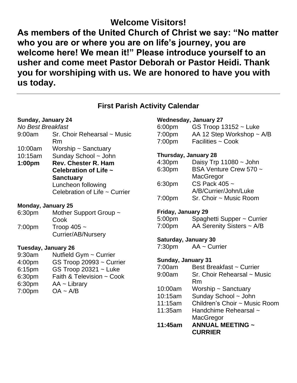# **Welcome Visitors!**

**As members of the United Church of Christ we say: "No matter who you are or where you are on life's journey, you are welcome here! We mean it!" Please introduce yourself to an usher and come meet Pastor Deborah or Pastor Heidi. Thank you for worshiping with us. We are honored to have you with us today.**

## **First Parish Activity Calendar**

### **Sunday, January 24**

| No Best Breakfast |                                    |
|-------------------|------------------------------------|
|                   | 9:00am Sr. Choir Rehearsal ~ Music |
|                   | Rm                                 |

- 10:00am Worship ~ Sanctuary
- 10:15am Sunday School ~ John
- **1:00pm Rev. Chester R. Ham Celebration of Life ~ Sanctuary** Luncheon following Celebration of Life ~ Currier

### **Monday, January 25**

6:30pm Mother Support Group ~ Cook 7:00pm Troop 405 ~ Currier/AB/Nursery

### **Tuesday, January 26**

- 9:30am Nutfield Gym ~ Currier
- 4:00pm GS Troop 20993 ~ Currier
- 6:15pm GS Troop 20321 ~ Luke
- 6:30pm Faith & Television ~ Cook
- 6:30pm AA ~ Library
- 7:00pm OA ~ A/B

### **Wednesday, January 27**

| 6:00pm | GS Troop $13152 -$ Luke        |
|--------|--------------------------------|
| 7:00pm | AA 12 Step Workshop $\sim$ A/B |
| 7:00pm | Facilities $\sim$ Cook         |

### **Thursday, January 28**

| 4:30 <sub>pm</sub> | Daisy Trp $11080 \sim$ John |
|--------------------|-----------------------------|
| 6:30pm             | BSA Venture Crew 570 ~      |
|                    | MacGregor                   |
| 6:30pm             | CS Pack 405 ~               |
|                    | A/B/Currier/John/Luke       |
| 7:00 <sub>pm</sub> | Sr. Choir ~ Music Room      |

### **Friday, January 29**

| 5:00pm | Spaghetti Supper ~ Currier     |
|--------|--------------------------------|
| 7:00pm | AA Serenity Sisters $\sim$ A/B |

### **Saturday, January 30**

7:30pm AA ~ Currier

### **Sunday, January 31**

- 7:00am Best Breakfast ~ Currier
- 9:00am Sr. Choir Rehearsal ~ Music Rm
- 10:00am Worship ~ Sanctuary
- 10:15am Sunday School ~ John
- 11:15am Children's Choir ~ Music Room
- 11:35am Handchime Rehearsal ~ **MacGregor**
- **11:45am ANNUAL MEETING ~ CURRIER**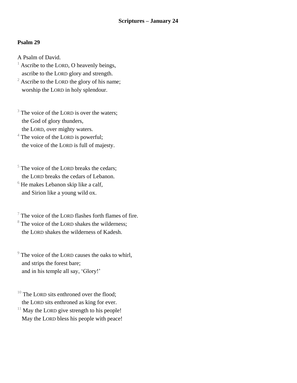### **Psalm 29**

A Psalm of David.

- Ascribe to the LORD, O heavenly beings, ascribe to the LORD glory and strength.
- $2^2$  Ascribe to the LORD the glory of his name; worship the LORD in holy splendour.
- $3$  The voice of the LORD is over the waters; the God of glory thunders, the LORD, over mighty waters.

<sup>4</sup> The voice of the LORD is powerful; the voice of the LORD is full of majesty.

 $5$  The voice of the LORD breaks the cedars; the LORD breaks the cedars of Lebanon.

 $6$  He makes Lebanon skip like a calf, and Sirion like a young wild ox.

 $\frac{7}{7}$  The voice of the LORD flashes forth flames of fire. <sup>8</sup> The voice of the LORD shakes the wilderness; the LORD shakes the wilderness of Kadesh.

 $9^9$  The voice of the LORD causes the oaks to whirl, and strips the forest bare; and in his temple all say, 'Glory!'

 $10$  The LORD sits enthroned over the flood; the LORD sits enthroned as king for ever.

 $11$  May the LORD give strength to his people! May the LORD bless his people with peace!